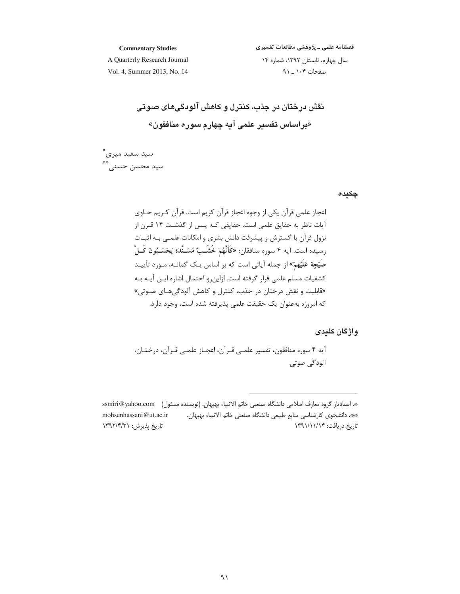**Commentary Studies**

.<br>فصلنامه علمی ــ پژوهشی مطالعات تفسیری

A Quarterly Research Journal Vol. 4, Summer 2013, No. 14 سال چهارم، تابستان ۱۳۹۲، شماره ۱۴ صفحات ۱۰۴ \_ ۹۱

 $\mathbf{z}$ نقش درختان در جذب، کنترل و کاهش الودگیهای صوتی «**براساس تفسیر علمی آیه چهارم سوره منافقون»** 

سید سعید میری\* سيد محسن حسني\*\*

**چکیدہ** 

اعجاز علمی قرآن یکی از وجوه اعجاز قرآن کریم است. قرآن کـریم حــاوی آیات ناظر به حقایق علمی است. حقایقی کـه پـس از گذشـت ۱۴ قــرن از نزول قرآن با گسترش و پیشرفت دانش بشری و امکانات علمـی بـه اثبــات رسيده است. آيه ۴ سوره منافقان: **«كَأَنَّهُمْ خُشُـبٌ** مُسَـنَّدَة يَحْسَـبُون<sub>ُ</sub> كُـلَّ صیْحِة عَلیْهمْ» از جمله أیاتی است که بر اساس یـک گمانــه، مـورد تأییــد كشفيات مسلم علمي قرار گرفته است. ازاينرو احتمال اشاره ايــن آيــه بــه «قابلیت و نقش درختان در جذب، کنترل و کاهش آلودگیهـای صـوتی» كه امروزه بهعنوان يک حقيقت علمي پذيرفته شده است، وجود دارد.

**واژگان کلیدی** 

أيه ۴ سوره منافقون، تفسير علمـي قـرآن، اعجـاز علمـي قـرآن، درختــان، آلودگی صوتی.

<sup>\*.</sup> استاديار گروه معارف اسلامي دانشگاه صنعتي خاتم الانبياء بهبهان. (نويسنده مسئول) ssmiri@yahoo.com -mohsenhassani@ut.ac.ir-\*\*. دانشجوی کارشناسی منابع طبیعی دانشگاه صنعتی خاتم الانبیاء بهبهان. تاریخ پذیرش: ۱۳۹۲/۴/۳۱ اریخ دریافت: ۱۳۹۱/۱۱/۱۴ N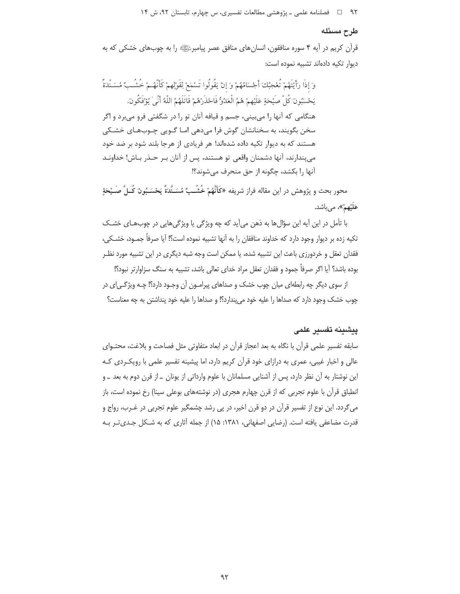#### طرح مسئله

قرآن کريم در آيه ۴ سوره منافقون، انسان هاي منافق عصر پيامبرﷺ را به چوبهاي خشکي که به دیوار تکیه دادهاند تشبیه نموده است:

وَ إِذَا رَأَيْتَهُمْ تُعْجِبُكَ أَجْسَامُهُمْ وَ إِنْ يَقُولُوا تَسْمَعْ لِقَوْلِهِمْ كَأَنَّهُـمْ خُشُـبٌ مُسَـنَّدَةٌ يَحْسَبُونَ كُلِّ صَيْحَةٍ عَلَيْهِمْ هُمُ الْعَدُوُّ فَاحْذَرْهُمْ قَاتَلَهُمُ اللَّهُ أَنِّي يُؤْفَكُونَ. هنگامی که آنها را می،بینی، جسم و قیافه آنان تو را در شگفتی فرو می،رد و اگر سخن بگویند، به سخنانشان گوش فرا میدهی امـا گــویی چــوبهـای خشــکی هستند که به دیوار تکیه داده شدهاند! هر فریادی از هرجا بلند شود بر ضد خود مي پندارند، آنها دشمنان واقعي تو هستند، پس از آنان بـر حـذر بـاش! خداونـد آنها را بكشد، چگونه از حق منحرف می شوند؟!

محور بحث و يژوهش در اين مقاله فراز شريفه «كَأَنَّهُمْ خُشُـبٌ مُسَـنَّدَةٌ يَحْسَـبُون<sub>ٌ</sub> كُـلَّ صَـيْحَةِ عَلَيْهِمْ»، مي باشد.

با تأمل در این آیه این سؤالها به ذهن میآید که چه ویژگی یا ویژگیهایی در چوبهای خشک تكيه زده بر ديوار وجود دارد كه خداوند منافقان را به آنها تشبيه نموده است؟! آيا صرفاً جمـود، خشـكي، فقدان تعقل و خردورزی باعث این تشبیه شده، یا ممکن است وجه شبه دیگری در این تشبیه مورد نظـر بوده باشد؟ آيا اگر صرفاً جمود و فقدان تعقل مراد خداي تعالى باشد، تشبيه به سنگ سزاوارتر نبود؟!

از سوی دیگر چه رابطهای میان چوب خشک و صداهای پیرامـون آن وجـود دارد؟! چـه ویژگـی|ی در چوب خشک وجود دارد که صداها را علیه خود می پندارد؟! و صداها را علیه خود پنداشتن به چه معناست؟

## ييشينه تفسير علمى

سابقه تفسیر علمی قرآن با نگاه به بعد اعجاز قرآن در ابعاد متفاوتی مثل فصاحت و بلاغت، محتـوای عالی و اخبار غیبی، عمری به درازای خود قرآن کریم دارد، اما پیشینه تفسیر علمی با رویک ردی کـه این نوشتار به آن نظر دارد، پس از آشنایی مسلمانان با علوم وارداتی از یونان ـ از قرن دوم به بعد ـ و انطباق قرآن با علوم تجربی که از قرن چهارم هجری (در نوشتههای بوعلی سینا) رخ نموده است، باز میگردد. این نوع از تفسیر قرآن در دو قرن اخیر، در پی رشد چشمگیر علوم تجربی در غـرب، رواج و قدرت مضاعفی یافته است. (رضایی اصفهانی، ۱۳۸۱: ۱۵) از جمله آثاری که به شـکل جـدیتر بـه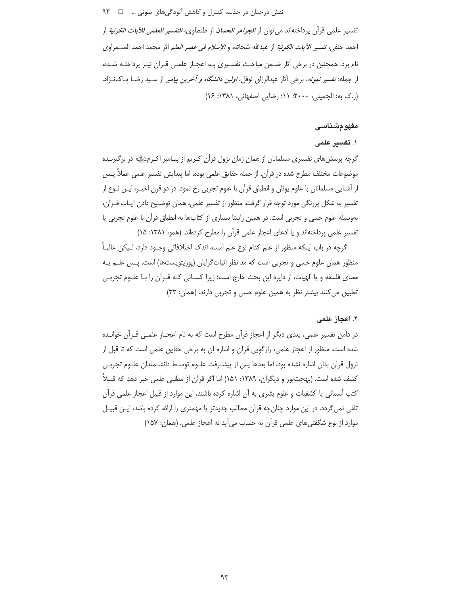نقش درختان در جذب، کنترل و کاهش آلودگیهای صوتی … ۔ □ ۹۳

تفسير علمي قرآن پرداختهاند مي توان از *الجواهر الحسان* از طنطاوي، *التفسير العلمي للآيات الكونية* از احمد حنفي، تفسير *الآيات الكونية* از عبدالله شحاته، و *الإسلام في عصر العلم* اثر محمد احمد الضــمراوي نام برد. همچنین در برخی آثار ضـمن مباحـث تفسـیری بـه اعجـاز علمـی قـرآن نیـز پرداختـه شـده، از جمله: تفسیر نم*ونه*، برخی آثار عبدالرزاق نوفل، *اولین دانشگاه و آخرین پیامبر* از سـید رضـا پـاکنــژاد. (ر.ک به: الجميلي، ٢٠٠٠: ١١؛ رضايي اصفهاني، ١٣٨١: ١۶)

#### مفهومشناسى

## ١. تفسس علمي

گرچه پرسشهای تفسیری مسلمانان از همان زمان نزول قرآن کـریم از پیـامبر اکـرمﷺ در برگیرنـده موضوعات مختلف مطرح شده در قرآن، از جمله حقایق علمی بوده، اما پیدایش تفسیر علمی عملاً پــس از آشنایی مسلمانان با علوم یونان و انطباق قرآن با علوم تجربی رخ نمود. در دو قرن اخیـر، ایـن نـوع از تفسير به شكل پررنگي مورد توجه قرار گرفت. منظور از تفسير علمي، همان توضـيح دادن آيـات قـرآن، بهوسیله علوم حسی و تجربی است. در همین راستا بسیاری از کتابها به انطباق قرآن با علوم تجربی یا تفسیر علمی پرداختهاند و یا ادعای اعجاز علمی قرآن را مطرح کردهاند. (همو، ۱۳۸۱: ۱۵)

گرچه در باب اینکه منظور از علم کدام نوع علم است، اندک اختلافاتی وجـود دارد، لـیکن غالبـاً منظور همان علوم حسی و تجربی است که مد نظر اثباتگرایان (پوزیتویستها) است. پـس علــم بـه معنای فلسفه و یا الهیات، از دایره این بحث خارج است؛ زیرا کسـانی کـه قـرآن را بـا علـوم تجربـی تطبیق می کنند بیشتر نظر به همین علوم حسی و تجربی دارند. (همان: ٣٣)

#### ٢. اعجاز علمى

در دامن تفسیر علمی، بعدی دیگر از اعجاز قرآن مطرح است که به نام اعجــاز علمــی قــرآن خوانــده شده است. منظور از اعجاز علمی، رازگویی قرآن و اشاره آن به برخی حقایق علمی است که تا قبل از نزول قرآن بدان اشاره نشده بود، اما بعدها پس از پیشـرفت علـوم توسـط دانشـمندان علـوم تجربـی کشف شده است. (بهجتپور و دیگران، ۱۳۸۹: ۱۵۱) اما اگر قرآن از مطلبی علمی خبر دهد که قـبلاً کتب آسمانی یا کشفیات و علوم بشری به آن اشاره کرده باشند، این موارد از قبیل اعجاز علمی قرآن تلقی نمی گردد. در این موارد چنان چه قرآن مطالب جدیدتر یا مهمتری را ارائه کرده باشد، ایـن قبیـل موارد از نوع شگفتی های علمی قرآن به حساب می آید نه اعجاز علمی. (همان: ۱۵۷)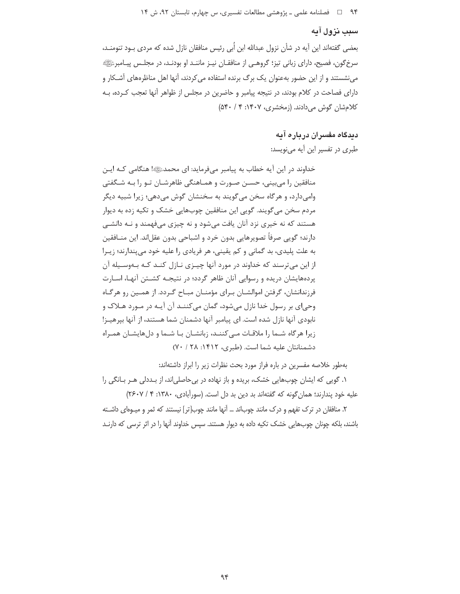# سبب نزول آیه

بعضی گفتهاند این آیه در شأن نزول عبدالله ابن اُبی رئیس منافقان نازل شده که مردی بـود تنومنـد، سرخگون، فصیح، دارای زبانی تیز؛ گروهـی از منافقـان نیـز ماننـد او بودنـد، در مجلـس پیـامبرئﷺ می نشستند و از این حضور بهعنوان یک برگ برنده استفاده می کردند، آنها اهل مناظرههای آشـکار و دارای فصاحت در کلام بودند، در نتیجه پیامبر و حاضرین در مجلس از ظواهر آنها تعجب کـرده، بـه کلام شان گوش می دادند. (زمخشری، ۱۴۰۷: ۴ / ۵۴۰)

## دیدگاه مفسران درباره آیه

طبری در تفسیر این آیه می نویسد:

خداوند در این آیه خطاب به پیامبر میفرماید: ای محمدﷺا هنگامی کـه ایـن منافقین را میبینی، حسـن صـورت و همـاهنگی ظاهرشـان تـو را بـه شـگفتی وامي دارد، و هرگاه سخن مي گويند به سخنشان گوش مي دهي؛ زيرا شبيه ديگر مردم سخن مي گويند. گويي اين منافقين چوبهايي خشک و تکيه زده به ديوار هستند که نه خیری نزد آنان یافت میشود و نه چیزی میفهمند و نـه دانشـی دارند؛ گویی صرفاً تصویرهایی بدون خرد و اشباحی بدون عقل|ند. این منــافقین به علت پلیدی، بد گمانی و کم یقینی، هر فریادی را علیه خود می پندارند؛ زیبرا از این میترسند که خداوند در مورد آنها چیـزی نـازل کنـد کـه بـهوسـیله آن پردههایشان دریده و رسوایی آنان ظاهر گردد؛ در نتیجـه کشـتن آنهـا، اسـارت فرزندانشان، گرفتن اموالشـان بـراي مؤمنـان مبـاح گـردد. از همـين رو هرگـاه وحي|ي پر رسول خدا نازل مي شود، گمان مي كننــد آن آيــه در مــورد هــلاک و نابودی آنها نازل شده است. ای پیامبر آنها دشمنان شما هستند، از آنها بپرهیـز! زیرا هرگاه شـما را ملاقـات مـیکننـد، زبانشـان بـا شـما و دلهایشـان همـراه دشمنانتان عليه شما است. (طبري، ١۴١٢: ٢٨ / ٧٠)

بهطور خلاصه مفسرين در باره فراز مورد بحث نظرات زير را ابراز داشتهاند: ۱. گویی که ایشان چوبهایی خشک، بریده و باز نهاده در بی حاصلی|ند، از بـددلی هـر بـانگی را علیه خود پندارند؛ همان گونه که گفتهاند بد دین بد دل است. (سورآبادی، ۱۳۸۰: ۴/ ۲۶۰۷) ٢. منافقان در ترک تفهم و درک مانند چوباند … آنها مانند چوب[تر] نیستند که ثمر و میـوهای داشـته باشند، بلکه چونان چوبهایی خشک تکیه داده به دیوار هستند. سپس خداوند آنها را در اثر ترسی که دارنـد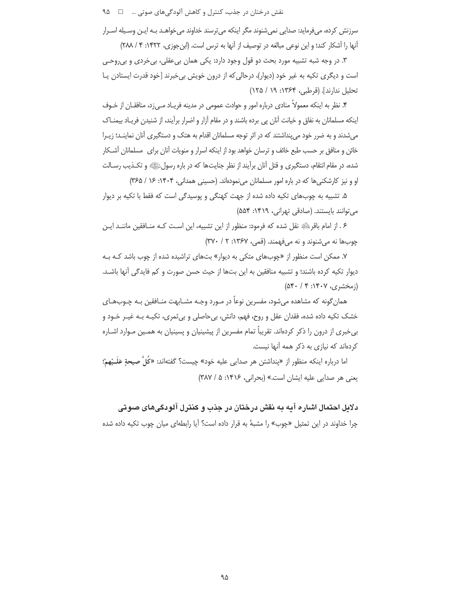نقش درختان در جذب، کنترل و کاهش آلودگیهای صوتی … □ ۹۵

سرزنش کرده، میفرماید: صدایی نمی شنوند مگر اینکه می ترسند خداوند می خواهـد بـه ایـن وسـیله اسـرار أنها را أشكار كند؛ و اين نوعي مبالغه در توصيف از أنها به ترس است. (ابنجوزي، ١۴٢٢: ۴ / ٢٨٨)

۳. در وجه شبه تشبیه مورد بحث دو قول وجود دارد: یکی همان بی عقلی، بی خردی و بی روحـی است و دیگری تکیه به غیر خود (دیوار)، درحالی که از درون خویش بی خبرند [خود قدرت ایستادن پـا تحليل ندارند]. (قرطبي، ١٣۶۴: ١٩ / ١٢۵)

۴. نظر به اینکه معمولاً منادی درباره امور و حوادث عمومی در مدینه فریـاد مـیiد، منافقـان از خـوف اینکه مسلمانان به نفاق و خیانت آنان پی برده باشند و در مقام آزار و اضرار برآیند، از شنیدن فریـاد بیمنــاک میشدند و به ضرر خود می پنداشتند که در اثر توجه مسلمانان اقدام به هتک و دستگیری آنان نماینــد؛ زیــرا خائن و منافق بر حسب طبع خائف و ترسان خواهد بود از اینکه اسرار و منویات آنان برای مسلمانان آشکار شده، در مقام انتقام، دستگیری و قتل آنان برآیند از نظر جنایتها که در باره رسولﷺ و تکـذیب رسـالت او و نیز کارشکنیها که در باره امور مسلمانان مینمودهاند. (حسینی همدانی، ۱۴۰۴: ۱۶ / ۳۶۵)

۵. تشبیه به چوبهای تکیه داده شده از جهت کهنگی و پوسیدگی است که فقط با تکیه بر دیوار می توانند بایستند. (صادقی تهرانی، ۱۴۱۹: ۵۵۴)

۶ . از امام باقرﷺ نقل شده که فرمود: منظور از این تشبیه، این اسـت کـه منـافقین ماننـد ایـن چوبها نه می شنوند و نه می فهمند. (قمی، ۱۳۶۷: ۲ / ۳۷۰)

۷. ممکن است منظور از «چوبهای متکی به دیوار» بتهای تراشیده شده از چوب باشد کـه بـه ديوار تكيه كرده باشند؛ و تشبيه منافقين به اين بتها از حيث حسن صورت و كم فايدگي أنها باشـد.  $(\delta \mathfrak{f} \cdot / \mathfrak{f} : \mathfrak{f} \cdot \mathfrak{V} \cdot \mathfrak{g})$  (زمخشری،

همان گونه که مشاهده می شود، مفسرین نوعاً در مـورد وجـه مشـابهت منـافقین بـه چـوبـهـای خشک تکیه داده شده، فقدان عقل و روح، فهم، دانش، بی حاصلی و بی ثمری، تکیـه بـه غیـر خـود و بی خبری از درون را ذکر کردهاند. تقریباً تمام مفسرین از پیشینیان و پسینیان به همـین مـوارد اشـاره کردهاند که نیازی به ذکر همه آنها نیست.

اما درباره اينكه منظور از «پنداشتن هر صدايي عليه خود» چيست؟ گفتهاند: «كُلِّ صيحةٍ عَلَــبْهمْ؛ یعنی هر صدایی علیه ایشان است.» (بحرانی، ۱۴۱۶: ۵/ ۳۸۷)

دلایل احتمال اشاره آیه به نقش درختان در جذب و کنترل آلودگیهای صوتی چرا خداوند در این تمثیل «چوب» را مشبهٔ به قرار داده است؟ آیا رابطهای میان چوب تکیه داده شده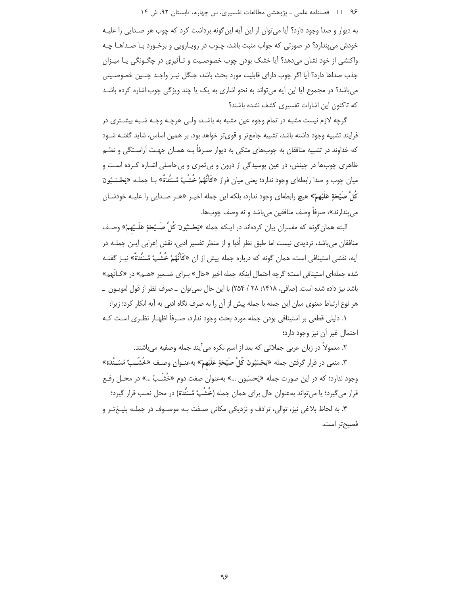### ۹۶ = 0 فصلنامه علمی ـ یژوهشی مطالعات تفسیری، س چهارم، تابستان ۹۲، ش ۱۴

به دیوار و صدا وجود دارد؟ آیا می توان از این آیه این گونه برداشت کرد که چوب هر صـدایی را علیـه خودش می پندارد؟ در صورتی که جواب مثبت باشد، چـوب در رویـارویی و برخـورد بـا صـداهـا چـه .<br>واکنشی از خود نشان می دهد؟ آیا خشک بودن چوب خصوصـیت و تـأثیری در چگـونگی پـا میـزان جذب صداها دارد؟ آيا اگر چوب داراي قابليت مورد بحث باشد، جنگل نيـز واجـد چنـين خصوصـيتي می باشد؟ در مجموع آیا این آیه می تواند به نحو اشاری به یک یا چند ویژگی چوب اشاره کرده باشـد كه تاكنون اين اشارات تفسيري كشف نشده باشند؟

گرچه لازم نیست مشبه در تمام وجوه عین مشبه به باشـد، ولـی هرچـه وجـه شـبه بیشـتری در فرایند تشبیه وجود داشته باشد، تشبیه جامعتر و قویتر خواهد بود. بر همین اساس، شاید گفتـه شـود که خداوند در تشبیه منافقان به چوبهای متکی به دیوار صـرفاً بـه همـان جهـت آراسـتگی و نظـم ظاهری چوبها در چینش، در عین پوسیدگی از درون و بی ثمری و بی حاصلی اشـاره کـرده اسـت و میان چوب و صدا رابطهای وجود ندارد؛ یعنی میان فراز «کَأَنَّهُمْ خُشُبٌ مُسَنَّدَةٌ» بـا جملـه «يَحْسَــبُونَ كُلَّ صَيْحَةٍ عَلَيْهِمْ» هيچ رابطهاي وجود ندارد، بلكه اين جمله اخيـر «هـر صـدايي را عليـه خودشــان مى پندارند»، صرفاً وصف منافقين مىباشد و نه وصف چوبها.

البته همان¢ونه که مفسران بیان کردهاند در اینکه جمله «یَحْسَبُونَ کُلَّ صَــْبِحَةٍ عَلَــْپهمْ» وصـف منافقان می باشد، تردیدی نیست اما طبق نظر اُدبا و از منظر تفسیر ادبی، نقش اِعرابی ایـن جملـه در آیه، نقشی استینافی است، همان گونه که درباره جمله پیش از آن «کَأَنَّهُمْ خُشُبٌ مُسَنَّدَةٌ» نیــز گفتــه شده جملهای استینافی است؛ گرچه احتمال اینکه جمله اخیر «حال» بـرای ضـمیر «هـم» در «کـانّهم» باشد نيز داده شده است. (صافي، ١٣١٨: ٢٨ / ٢٥۴) با اين حال نمي توان \_ صرف نظر از قول لغويـون \_ هر نوع ارتباط معنوى ميان اين جمله با جمله پيش از آن را به صرف نگاه ادبي به آيه انكار كرد؛ زيرا:

۱. دلیلی قطعی بر استینافی بودن جمله مورد بحث وجود ندارد، صـرفاً اظهـار نظـری اسـت کـه احتمال غير آن نيز وجود دارد؛

٢. معمولاً در زبان عربي جملاتي كه بعد از اسم نكره مي آيند جمله وصفيه مي باشند.

۳. منعي در قرار گرفتن جمله «يَحْسَبُونَ كُلَّ صَيْحَةٍ عَلَيْهِمْ» بهعنـوان وصـف «خُشُــبٌ مُسَـنَّدَة» وجود ندارد؛ که در این صورت جمله «یَحسَبون …» بهعنوان صفت دوم «خُشُـبُ …» در محــل رفـع قرار می گیرد؛ یا می تواند بهعنوان حال برای همان جمله (خُشُبٌ مُسَنَّدَة) در محل نصب قرار گیرد؛

۴. به لحاظ بلاغی نیز، توالی، ترادف و نزدیکی مکانی صـفت پـه موصـوف در جملـه بلیـغ تـر و فصيح تر است.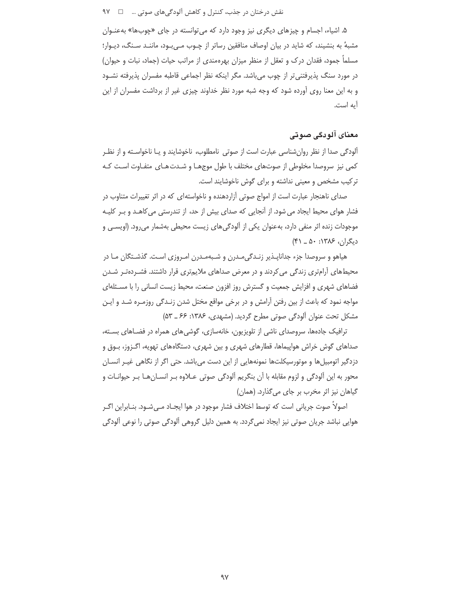# نقش درختان در جذب، کنترل و کاهش آلودگیهای صوتی … ۔ □ ۹۷

۵. اشیاء، اجسام و چیزهای دیگری نیز وجود دارد که می توانسته در جای «چوبها» به *عن*ـوان مشبهٔ به بنشیند، که شاید در بیان اوصاف منافقین رساتر از چـوب مـیLبود، ماننـد سـنگ، دیـوار؛ مسلماً جمود، فقدان درک و تعقل از منظر میزان بهرهمندی از مراتب حیات (جماد، نبات و حیوان) در مورد سنگ پذیرفتنی تر از چوب می باشد. مگر اینکه نظر اجماعی قاطبه مفسران پذیرفته نشـود و به این معنا روی آورده شود که وجه شبه مورد نظر خداوند چیزی غیر از برداشت مفسران از این آيه است.

# معنای آلودگی صوتی

آلودگی صدا از نظر روانِشناسی عبارت است از صوتی نامطلوب، ناخوشایند و یـا ناخواسـته و از نظـر کمی نیز سروصدا مخلوطی از صوتهای مختلف با طول موجهـا و شـدت هـای متفـاوت اسـت کـه ترکیب مشخص و معینی نداشته و برای گوش ناخوشایند است.

صدای ناهنجار عبارت است از امواج صوتی آزاردهنده و ناخواستهای که در اثر تغییرات متناوب در فشار هوای محیط ایجاد می شود. از آنجایی که صدای بیش از حد، از تندرستی می کاهـد و بـر کلیـه موجودات زنده اثر منفی دارد، بهعنوان یکی از آلودگیهای زیست محیطی بهشمار میرود. (اویسـی و  $(4)$  دیگران، ۱۳۸۶: ۵۰ ـ ۴۱)

هیاهو و سروصدا جزء جداناپذیر زنـدگی مـدرن و شـبهمـدرن امـروزی اسـت. گذشـتگان مـا در محیطهای آرامتری زندگی می کردند و در معرض صداهای ملایمتری قرار داشتند. فشـردهتـر شـدن فضاهای شهری و افزایش جمعیت و گسترش روز افزون صنعت، محیط زیست انسانی را با مسـئلهای مواجه نمود که باعث از بین رفتن آرامش و در برخی مواقع مختل شدن زنـدگی روزمـره شـد و ایـن مشکل تحت عنوان آلودگی صوتی مطرح گردید. (مشهدی، ۱۳۸۶: ۶۶ ـ ۵۳)

ترافیک جادهها، سروصدای ناشی از تلویزیون، خانهسازی، گوشی های همراه در فضـاهای بسـته، صداهای گوش خراش هواپیماها، قطارهای شهری و بین شهری، دستگاههای تهویه، اگـزوز، بـوق و دزدگیر اتومبیل ها و موتورسیکلت ها نمونههایی از این دست می باشد. حتی اگر از نگاهی غیـر انسـان محور به این آلودگی و لزوم مقابله با آن بنگریم آلودگی صوتی عــلاوه بـر انســانهــا بـر حیوانــات و گیاهان نیز اثر مخرب بر جای میگذارد. (همان)

اصولاً صوت جریانی است که توسط اختلاف فشار موجود در هوا ایجـاد مـیشـود. بنـابراین اگـر هوایی نباشد جریان صوتی نیز ایجاد نمی گردد. به همین دلیل گروهی آلودگی صوتی را نوعی آلودگی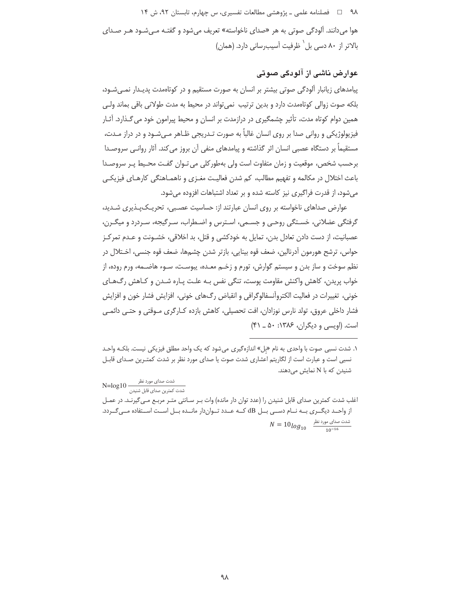۹۸ = □ فصلنامه علمي ـ يژوهشي مطالعات تفسيري، س چهارم، تابستان ٩٢، ش ١۴

هوا می دانند. آلودگی صوتی به هر «صدای ناخواسته» تعریف می شود و گفتـه مـی شـود هـر صـدای بالاتر از ۸۰ دسی بل<sup>`</sup> ظرفیت آسیبرسانی دارد. (همان)

# عوارض ناشی از آلودگی صوتی

پیامدهای زیانبار آلودگی صوتی بیشتر بر انسان به صورت مستقیم و در کوتاممدت پدیـدار نمـیشـود، بلکه صوت زوالی کوتاهمدت دارد و بدین ترتیب نمی تواند در محیط به مدت طولانی باقی بماند ولـی همین دوام کوتاه مدت، تأثیر چشمگیری در درازمدت بر انسان و محیط پیرامون خود می گـذارد. آثـار فیزیولوژیکی و روانی صدا بر روی انسان غالباً به صورت تـدریجی ظـاهر مـبیشـود و در دراز مـدت، مستقیماً بر دستگاه عصبی انسان اثر گذاشته و پیامدهای منفی آن بروز می کند. آثار روانـی سروصـدا برحسب شخص، موقعیت و زمان متفاوت است ولی بهطور کلی می تـوان گفـت محـیط پـر سروصـدا باعث اختلال در مکالمه و تفهیم مطالب، کم شدن فعالیت مغـزی و ناهمـاهنگی کارهـای فیزیکـی میشود، از قدرت فراگیری نیز کاسته شده و بر تعداد اشتباهات افزوده میشود.

عوارض صداهای ناخواسته بر روی انسان عبارتند از: حساسیت عصـبی، تحریـکپـذیری شـدید، گرفتگی عضلانی، خستگی روحـی و جسـمی، اسـترس و اضـطراب، سـرگیجه، سـردرد و میگـرن، عصبانیت، از دست دادن تعادل بدن، تمایل به خودکشی و قتل، بد اخلاقی، خشـونت و عـدم تمرکـز حواس، ترشح هورمون آدرنالین، ضعف قوه بینایی، بازتر شدن چشمها، ضعف قوه جنسی، اخـتلال در نظم سوخت و ساز بدن و سیستم گوارش، تورم و زخـم معـده، یبوسـت، سـوء هاضــمه، ورم روده، از خواب پريدن، كاهش واكنش مقاومت يوست، تنگي نفس بـه علـت پـاره شـدن و كـاهش رگ1هـاي خونی، تغییرات در فعالیت الکتروآنسفالوگرافی و انقباض رگ&ای خونی، افزایش فشار خون و افزایش فشار داخلی عروق، تولد نارس نوزادان، افت تحصیلی، کاهش بازده کـارگری مـوقتی و حتـی دائمـی است. (اویسی و دیگران، ۱۳۸۶: ۵۰ ـ ۴۱)

شدت صدای مورد نظر<br>شدت کمترین صدای قابل شنیدن N=log10

اغلب شدت کمترین صدای قابل شنیدن را (عدد توان دار مانده) وات بـر سـانتی متـر مربـع مـی5یرنـد. در عمـل از واحـد دیگــری بــه نــام دســی بــل dB کــه عــدد تــواندار مانــده بــل اســت اســتفاده مــیگــردد.  $N = 10 log_{10}$  شدت صدای مورد نظر  $\frac{100}{10^{-16}}$ 

۱. شدت نسبی صوت با واحدی به نام «بل» اندازهگیری می شود که یک واحد مطلق فیزیکی نیست. بلکـه واحـد نسبی است و عبارت است از لگاریتم اعشاری شدت صوت یا صدای مورد نظر بر شدت کمتـرین صـدای قابـل شنیدن که با N نمایش میدهند.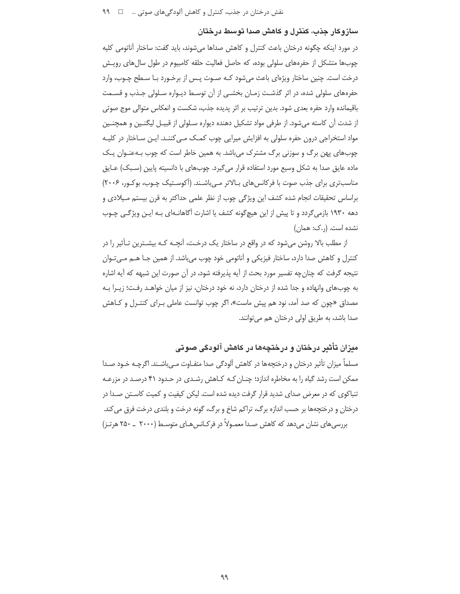### سازوکار جذب، کنترل و کاهش صدا توسط درختان

در مورد اینکه چگونه درختان باعث کنترل و کاهش صداها میشوند، باید گفت: ساختار آناتومی کلیه چوبها متشکل از حفرههای سلولی بوده، که حاصل فعالیت حلقه کامبیوم در طول سال های رویش درخت است. چنین ساختار ویژهای باعث میشود کـه صـوت پـس از برخـورد بـا سـطح چـوب، وارد حفرههای سلولی شده، در اثر گذشت زمـان بخشـی از آن توسـط دیـواره سـلولی جـذب و قسـمت باقیمانده وارد حفره بعدی شود. بدین ترتیب بر اثر پدیده جذب، شکست و انعکاس متوالی موج صوتی از شدت آن کاسته میشود. از طرفی مواد تشکیل دهنده دیواره سلولی از قبیـل لیگنـین و همچنـین مواد استخراجی درون حفره سلولی به افزایش میرایی چوب کمـک مـی کننـد. ایـن سـاختار در کلیـه چوبھای پھن برگ و سوزنی برگ مشترک می باشد. به همین خاطر است که چوب بـهعنـوان یـک ماده عایق صدا به شکل وسیع مورد استفاده قرار میگیرد. چوبهای با دانسیته پایین (سـبک) عـایق مناسب تری برای جذب صوت با فرکانس های بالاتر مے باشـند. (آکوسـتیک چـوب، بوکـور، ۲۰۰۶) براساس تحقیقات انجام شده کشف این ویژگی چوب از نظر علمی حداکثر به قرن بیستم میلادی و دهه ۱۹۳۰ بازمی گردد و تا پیش از این هیچ گونه کشف یا اشارت آگاهانـهای بـه ایـن ویژگـی چـوب نشده است. (,.ک: همان)

از مطلب بالا روشن میشود که در واقع در ساختار یک درخـت، آنچـه کـه بیشـترین تـأثیر را در کنترل و کاهش صدا دارد، ساختار فیزیکی و آناتومی خود چوب میباشد. از همین جـا هــم مــیتــوان نتيجه گرفت كه چنان چه تفسير مورد بحث از آيه پذيرفته شود، در آن صورت اين شبهه كه آيه اشاره به چوبهای وانهاده و جدا شده از درختان دارد، نه خود درختان، نیز از میان خواهـد رفـت؛ زیـرا بـه مصداق «چون که صد آمد، نود هم پیش ماست»، اگر چوب توانست عاملی بـرای کنتـرل و کـاهش صدا باشد، به طریق اولی درختان هم می توانند.

میزان تأثیر درختان و درختچهها در کاهش آلودگی صوتی

مسلماً میزان تأثیر درختان و درختچهها در کاهش آلودگی صدا متفـاوت مـی باشـند. اگرچـه خـود صـدا ممکن است رشد گیاه را به مخاطره اندازد؛ چنـان کـه کـاهش رشـدی در حـدود ۴۱ درصـد در مزرعـه تنباکوی که در معرض صدای شدید قرار گرفت دیده شده است. لیکن کیفیت و کمیت کاسـتن صـدا در درختان و درختچهها بر حسب اندازه برگ، تراکم شاخ و برگ، گونه درخت و بلندی درخت فرق می کند. بررسیهای نشان میدهد که کاهش صـدا معمـولاً در فرکـانسهـای متوسـط (۲۰۰۰ \_ ۲۵۰ هرتـز)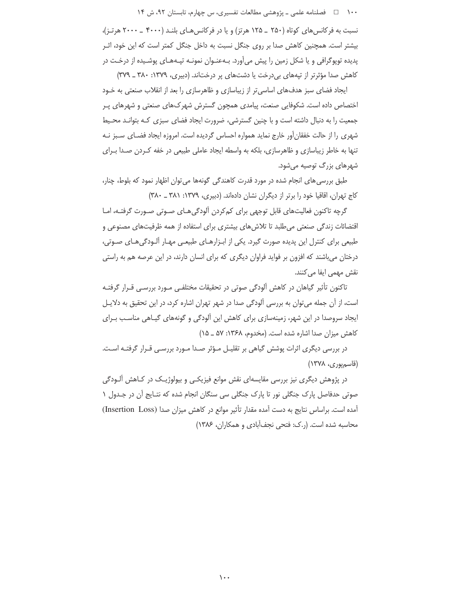۱۰۰ فصلنامه علمی ـ یژوهشی مطالعات تفسیری، س چهارم، تابستان ۹۲، ش ۱۴

نسبت به فرکانس های کوتاه (۲۵۰ \_ ۱۲۵ هرتز) و یا در فرکانس هـای بلنـد (۴۰۰۰ \_ ۲۰۰۰ هرتـز)، بیشتر است. همچنین کاهش صدا بر روی جنگل نسبت به داخل جنگل کمتر است که این خود، اثـر یدیده توپوگرافی و یا شکل زمین را پیش می آورد. بـهعنـوان نمونـه تیـههـای پوشـیده از درخـت در کاهش صدا مؤثرتر از تپههای بی درخت یا دشتهای پر درختاند. (دبیری، ۱۳۷۹: ۳۸۰ ـ ۳۷۹)

ایجاد فضای سبز هدفهای اساسی تر از زیباسازی و ظاهرسازی را بعد از انقلاب صنعتی به خـود اختصاص داده است. شکوفایی صنعت، پیامدی همچون گسترش شهر کـهای صنعتی و شهرهای پـر جمعیت را به دنبال داشته است و با چنین گسترشی، ضرورت ایجاد فضای سبزی کـه بتوانـد محـیط شهری را از حالت خفقان آور خارج نماید همواره احساس گردیده است. امروزه ایجاد فضـای سـبز نـه تنها به خاطر زیباسازی و ظاهرسازی، بلکه به واسطه ایجاد عاملی طبیعی در خفه کـردن صـدا بـرای شهرهای بزرگ توصیه می شود.

طبق بررسی های انجام شده در مورد قدرت کاهندگی گونهها میتوان اظهار نمود که بلوط، چنار، کاج تهران، اقاقیا خود را برتر از دیگران نشان دادهاند. (دبیری، ١٣٧٩: ٣٨٠ \_ ٣٨٠)

گرچه تاکنون فعالیتهای قابل توجهی برای کمکردن آلودگی هـای صـوتی صـورت گرفتـه، امـا اقتضائات زندگی صنعتی می طلبد تا تلاش های بیشتری برای استفاده از همه ظرفیتهای مصنوعی و طبیعی برای کنترل این پدیده صورت گیرد. یکی از ابـزارهـای طبیعـی مهـار ألـودگیهـای صـوتی، درختان میباشند که افزون بر فواید فراوان دیگری که برای انسان دارند، در این عرصه هم به راستی نقش مهمی ایفا می کنند.

تاکنون تأثیر گیاهان در کاهش آلودگی صوتی در تحقیقات مختلفـی مـورد بررسـی قـرار گرفتـه است، از آن جمله می توان به بررسی آلودگی صدا در شهر تهران اشاره کرد، در این تحقیق به دلایـل ایجاد سروصدا در این شهر، زمینهسازی برای کاهش این آلودگی و گونههای گیـاهی مناسـب بـرای کاهش میزان صدا اشاره شده است. (مخدوم، ۱۳۶۸: ۵۷ \_ ۱۵)

در بررسی دیگری اثرات پوشش گیاهی بر تقلیـل مـؤثر صـدا مـورد بررسـی قـرار گرفتـه اسـت. (قاسمپوری، ۱۳۷۸)

در پژوهش دیگری نیز بررسی مقایسهای نقش موانع فیزیکـی و بیولوژیـک در کـاهش آلـودگی صوتی حدفاصل پارک جنگلی نور تا پارک جنگلی سی سنگان انجام شده که نتـایج آن در جـدول ۱ آمده است. براساس نتايج به دست آمده مقدار تأثير موانع در كاهش ميزان صدا (Insertion Loss) محاسبه شده است. (ر.ک: فتحی نجف آبادی و همکاران، ۱۳۸۶)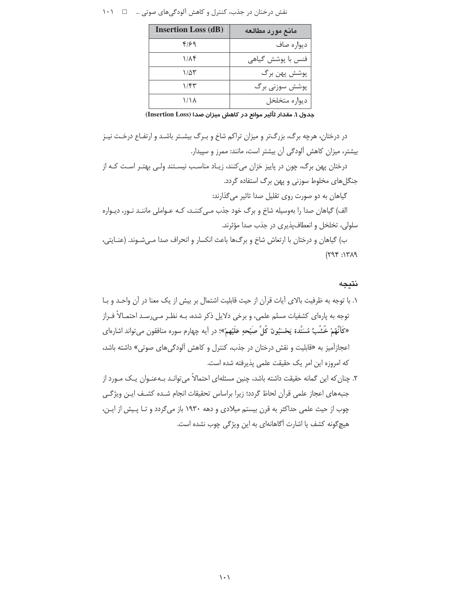|  | نقش درختان در جذب، کنترل و کاهش آلودگیهای صوتی … ۔ 1 ۱۰۱ |  |  |  |  |  |
|--|----------------------------------------------------------|--|--|--|--|--|
|--|----------------------------------------------------------|--|--|--|--|--|

| <b>Insertion Loss (dB)</b> | مانع مورد مطالعه  |
|----------------------------|-------------------|
| ۴۱۶۹                       | ديواره صاف        |
| ۱/۸۴                       | فنس با پوشش گیاهی |
| ۱/۵۳                       | پوشش پهن برگ      |
| ۱/۴۳                       | پوشش سوزنی برگ    |
| ۱/۱۸                       | ديواره متخلخل     |

جدول ١. مقدار ثأثير موانع در كاهش ميزان صدا (Insertion Loss)

در درختان، هرچه برگ، بزرگتر و میزان تراکم شاخ و بـرگ بیشـتر باشـد و ارتفـاع درخـت نیـز بیشتر، میزان کاهش آلودگی آن بیشتر است، مانند: ممرز و سپیدار. درختان پهن برگ، چون در پاییز خزان میکنند، زیـاد مناسـب نیسـتند ولـی بهتـر اسـت کـه از جنگلهای مخلوط سوزنی و پهن برگ استفاده گردد. گیاهان به دو صورت روی تقلیل صدا تاثیر میگذارند: الف) گیاهان صدا را بهوسیله شاخ و برگ خود جذب مے کننـد، کـه عـواملی ماننـد نـور، دیـواره سلولي، تخلخل و انعطاف پذيري در جذب صدا مؤثرند. ب) گیاهان و درختان با ارتعاش شاخ و برگ@ا باعث انکسار و انحراف صدا مـیشـوند. (عنـایتی،

 $(794:17)$ 

نتيجه

۲. چنان که این گمانه حقیقت داشته باشد، چنین مسئلهای احتمالاً می¤وانـد بـهعنـوان یـک مـورد از جنبههای اعجاز علمی قرآن لحاظ گردد؛ زیرا براساس تحقیقات انجام شده کشـف ایـن ویژگـی چوب از حیث علمی حداکثر به قرن بیستم میلادی و دهه ۱۹۳۰ باز می گردد و تـا پـیش از ایـن، هیچگونه کشف یا اشارت آگاهانهای به این ویژگی چوب نشده است.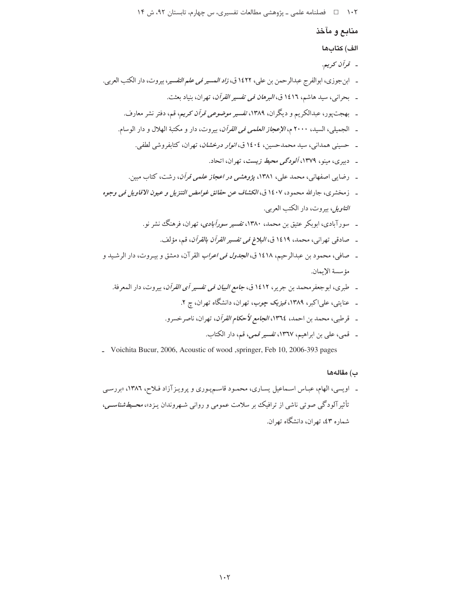منابع و مآخذ الف) كتابها - قرآن كريم. ـ ابن جوزي، ابوالفرج عبدالرحمن بن علي، ١٤٢٢ ق، *زاد المسير في علم التفسي*ر، بيروت، دار الكتب العربي. ـ بحراني، سيد هاشم، ١٤١٦ ق، *البرهان في تفسير القرآن*، تهران، بنياد بعثت. ۔ بھجت یور، عبدالکریم و دیگران، ۱۳۸۹، تفسیر *موضوعی قرآن ک*ریم، قم، دفتر نشر معارف. ـ الجميلي، السيد، ٢٠٠٠ م، *الإعجاز العلمي في القرآن*، بيروت، دار و مكتبة الهلال و دار الوسام. ـ حسینی همدانی، سید محمدحسین، ١٤٠٤ ق، *انوار درخشان*، تهران، کتابفروشی لطفی. ـ دبیری، مینو، ۱۳۷۹، *آلودگی محیط زیست*، تهران، اتحاد. ـ رضایبی اصفهانبی، محمد علبی، ۱۳۸۱، پژ*وهشی در اعجاز علمی قرآن*، رشت، کتاب مبین. ـ زمخشري، جارالله محمود، ١٤٠٧ ق، *الكشاف عن حقائق غوامض التنزيل و عيون الاقاويل في وجوه التاويل*، بيروت، دار الكتب العربي. ـ سورآبادی، ابوبکر عتیق بن محمد، ۱۳۸۰، تفسیر *سورآبادی*، تهران، فرهنگ نشر نو. \_ صادقي تهراني، محمد، ١٤١٩ ق، *البلاغ في تفسير القرآن بالقرآن*، قم، مؤلف. ـ صافي، محمود بن عبدالرحيم، ١٤١٨ ق، *الجدول في اعراب* القرآن، دمشق و بيـروت، دار الرشـيد و مؤسسة الإيمان. ـ طبري، ابوجعفرمحمد بن جرير، ١٤١٢ ق، *جامع البيان في تفسير أي القرآن*، بيروت، دار المعرفة. ۔ عنایتی، علیاکبر، ۱۳۸۹، *فیزیک چوب*، تهران، دانشگاه تهران، چ ۲. \_ قرطبي، محمد بن احمد، ١٣٦٤، *الجامع لأحكام القرآن*، تهران، ناصر خسرو. ـ قمي، علي بن ابراهيم، ١٣٦٧، تفسير قمي، قم، دار الكتاب.

- Voichita Bucur, 2006, Acoustic of wood ,springer, Feb 10, 2006-393 pages

#### ب) مقالهها

ـ اویسی، الهام، عبـاس اسـماعیل پسـاری، محمـود قاسـم پـوری و پرویـز آزاد فـلاح، ١٣٨٦، «بررسـي تأثیر آلودگی صوتی ناشی از ترافیک بر سلامت عمومی و روانی شـهروندان پـزد»، *محـیطشناسـی*، شماره ٤٣، تهران، دانشگاه تهران.